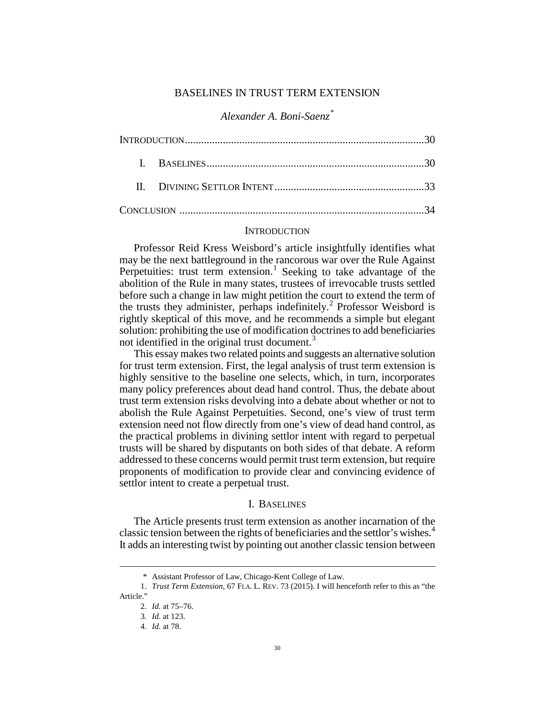## BASELINES IN TRUST TERM EXTENSION

# *Alexander A. Boni-Saenz[\\*](#page-0-0)*

## **INTRODUCTION**

Professor Reid Kress Weisbord's article insightfully identifies what may be the next battleground in the rancorous war over the Rule Against Perpetuities: trust term extension.<sup>[1](#page-0-1)</sup> Seeking to take advantage of the abolition of the Rule in many states, trustees of irrevocable trusts settled before such a change in law might petition the court to extend the term of the trusts they administer, perhaps indefinitely.<sup>[2](#page-0-2)</sup> Professor Weisbord is rightly skeptical of this move, and he recommends a simple but elegant solution: prohibiting the use of modification doctrines to add beneficiaries not identified in the original trust document.<sup>[3](#page-0-3)</sup>

This essay makes two related points and suggests an alternative solution for trust term extension. First, the legal analysis of trust term extension is highly sensitive to the baseline one selects, which, in turn, incorporates many policy preferences about dead hand control. Thus, the debate about trust term extension risks devolving into a debate about whether or not to abolish the Rule Against Perpetuities. Second, one's view of trust term extension need not flow directly from one's view of dead hand control, as the practical problems in divining settlor intent with regard to perpetual trusts will be shared by disputants on both sides of that debate. A reform addressed to these concerns would permit trust term extension, but require proponents of modification to provide clear and convincing evidence of settlor intent to create a perpetual trust.

## I. BASELINES

The Article presents trust term extension as another incarnation of the classic tension between the rights of beneficiaries and the settlor's wishes.[4](#page-0-4) It adds an interesting twist by pointing out another classic tension between

 <sup>\*</sup> Assistant Professor of Law, Chicago-Kent College of Law.

<span id="page-0-4"></span><span id="page-0-3"></span><span id="page-0-2"></span><span id="page-0-1"></span><span id="page-0-0"></span><sup>1.</sup> *Trust Term Extension*, 67 FLA. L. REV. 73 (2015). I will henceforth refer to this as "the Article."

<sup>2.</sup> *Id.* at 75–76.

<sup>3.</sup> *Id.* at 123.

<sup>4.</sup> *Id.* at 78.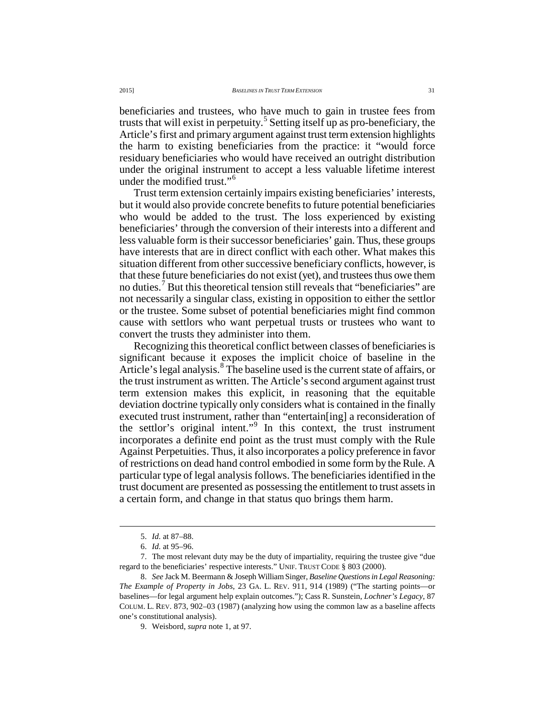beneficiaries and trustees, who have much to gain in trustee fees from trusts that will exist in perpetuity.<sup>[5](#page-1-0)</sup> Setting itself up as pro-beneficiary, the Article's first and primary argument against trust term extension highlights the harm to existing beneficiaries from the practice: it "would force residuary beneficiaries who would have received an outright distribution under the original instrument to accept a less valuable lifetime interest under the modified trust."[6](#page-1-1)

Trust term extension certainly impairs existing beneficiaries' interests, but it would also provide concrete benefits to future potential beneficiaries who would be added to the trust. The loss experienced by existing beneficiaries' through the conversion of their interests into a different and less valuable form is their successor beneficiaries' gain. Thus, these groups have interests that are in direct conflict with each other. What makes this situation different from other successive beneficiary conflicts, however, is that these future beneficiaries do not exist (yet), and trustees thus owe them no duties.[7](#page-1-2) But this theoretical tension still reveals that "beneficiaries" are not necessarily a singular class, existing in opposition to either the settlor or the trustee. Some subset of potential beneficiaries might find common cause with settlors who want perpetual trusts or trustees who want to convert the trusts they administer into them.

Recognizing this theoretical conflict between classes of beneficiaries is significant because it exposes the implicit choice of baseline in the Article's legal analysis.<sup>[8](#page-1-3)</sup> The baseline used is the current state of affairs, or the trust instrument as written. The Article's second argument against trust term extension makes this explicit, in reasoning that the equitable deviation doctrine typically only considers what is contained in the finally executed trust instrument, rather than "entertain[ing] a reconsideration of the settlor's original intent."[9](#page-1-4) In this context, the trust instrument incorporates a definite end point as the trust must comply with the Rule Against Perpetuities. Thus, it also incorporates a policy preference in favor of restrictions on dead hand control embodied in some form by the Rule. A particular type of legal analysis follows. The beneficiaries identified in the trust document are presented as possessing the entitlement to trust assets in a certain form, and change in that status quo brings them harm.

 <sup>5.</sup> *Id.* at 87–88.

<sup>6.</sup> *Id.* at 95–96.

<span id="page-1-2"></span><span id="page-1-1"></span><span id="page-1-0"></span><sup>7.</sup> The most relevant duty may be the duty of impartiality, requiring the trustee give "due regard to the beneficiaries' respective interests." UNIF. TRUST CODE § 803 (2000).

<span id="page-1-4"></span><span id="page-1-3"></span><sup>8.</sup> *See* Jack M. Beermann & Joseph William Singer, *Baseline Questions in Legal Reasoning: The Example of Property in Jobs*, 23 GA. L. REV. 911, 914 (1989) ("The starting points—or baselines—for legal argument help explain outcomes."); Cass R. Sunstein, *Lochner's Legacy*, 87 COLUM. L. REV. 873, 902–03 (1987) (analyzing how using the common law as a baseline affects one's constitutional analysis).

<sup>9.</sup> Weisbord, *supra* note 1, at 97.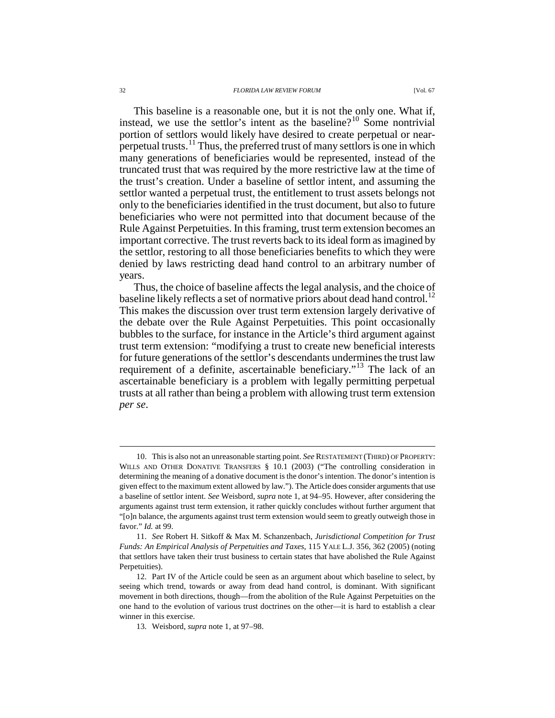#### 32 *FLORIDA LAW REVIEW FORUM* [Vol. 67

This baseline is a reasonable one, but it is not the only one. What if, instead, we use the settlor's intent as the baseline?<sup>[10](#page-2-0)</sup> Some nontrivial portion of settlors would likely have desired to create perpetual or near-perpetual trusts.<sup>[11](#page-2-1)</sup> Thus, the preferred trust of many settlors is one in which many generations of beneficiaries would be represented, instead of the truncated trust that was required by the more restrictive law at the time of the trust's creation. Under a baseline of settlor intent, and assuming the settlor wanted a perpetual trust, the entitlement to trust assets belongs not only to the beneficiaries identified in the trust document, but also to future beneficiaries who were not permitted into that document because of the

Rule Against Perpetuities. In this framing, trust term extension becomes an important corrective. The trust reverts back to its ideal form as imagined by the settlor, restoring to all those beneficiaries benefits to which they were denied by laws restricting dead hand control to an arbitrary number of years.

Thus, the choice of baseline affects the legal analysis, and the choice of baseline likely reflects a set of normative priors about dead hand control.<sup>1</sup> This makes the discussion over trust term extension largely derivative of the debate over the Rule Against Perpetuities. This point occasionally bubbles to the surface, for instance in the Article's third argument against trust term extension: "modifying a trust to create new beneficial interests for future generations of the settlor's descendants undermines the trust law requirement of a definite, ascertainable beneficiary."<sup>[13](#page-2-3)</sup> The lack of an ascertainable beneficiary is a problem with legally permitting perpetual trusts at all rather than being a problem with allowing trust term extension *per se*.

<span id="page-2-0"></span> <sup>10.</sup> This is also not an unreasonable starting point. *See* RESTATEMENT (THIRD) OF PROPERTY: WILLS AND OTHER DONATIVE TRANSFERS § 10.1 (2003) ("The controlling consideration in determining the meaning of a donative document is the donor's intention. The donor's intention is given effect to the maximum extent allowed by law."). The Article does consider arguments that use a baseline of settlor intent. *See* Weisbord, *supra* note 1, at 94–95. However, after considering the arguments against trust term extension, it rather quickly concludes without further argument that "[o]n balance, the arguments against trust term extension would seem to greatly outweigh those in favor." *Id.* at 99.

<span id="page-2-1"></span><sup>11.</sup> *See* Robert H. Sitkoff & Max M. Schanzenbach, *Jurisdictional Competition for Trust Funds: An Empirical Analysis of Perpetuities and Taxes*, 115 YALE L.J. 356, 362 (2005) (noting that settlors have taken their trust business to certain states that have abolished the Rule Against Perpetuities).

<span id="page-2-3"></span><span id="page-2-2"></span><sup>12.</sup> Part IV of the Article could be seen as an argument about which baseline to select, by seeing which trend, towards or away from dead hand control, is dominant. With significant movement in both directions, though—from the abolition of the Rule Against Perpetuities on the one hand to the evolution of various trust doctrines on the other—it is hard to establish a clear winner in this exercise.

<sup>13.</sup> Weisbord, *supra* note 1, at 97–98.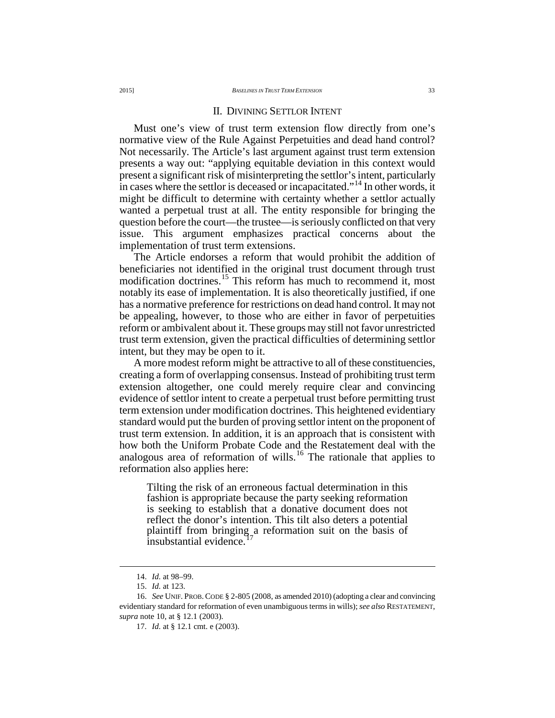### II. DIVINING SETTLOR INTENT

Must one's view of trust term extension flow directly from one's normative view of the Rule Against Perpetuities and dead hand control? Not necessarily. The Article's last argument against trust term extension presents a way out: "applying equitable deviation in this context would present a significant risk of misinterpreting the settlor's intent, particularly in cases where the settlor is deceased or incapacitated."<sup>[14](#page-3-0)</sup> In other words, it might be difficult to determine with certainty whether a settlor actually wanted a perpetual trust at all. The entity responsible for bringing the question before the court—the trustee—is seriously conflicted on that very issue. This argument emphasizes practical concerns about the implementation of trust term extensions.

The Article endorses a reform that would prohibit the addition of beneficiaries not identified in the original trust document through trust modification doctrines.<sup>[15](#page-3-1)</sup> This reform has much to recommend it, most notably its ease of implementation. It is also theoretically justified, if one has a normative preference for restrictions on dead hand control. It may not be appealing, however, to those who are either in favor of perpetuities reform or ambivalent about it. These groups may still not favor unrestricted trust term extension, given the practical difficulties of determining settlor intent, but they may be open to it.

A more modest reform might be attractive to all of these constituencies, creating a form of overlapping consensus. Instead of prohibiting trust term extension altogether, one could merely require clear and convincing evidence of settlor intent to create a perpetual trust before permitting trust term extension under modification doctrines. This heightened evidentiary standard would put the burden of proving settlor intent on the proponent of trust term extension. In addition, it is an approach that is consistent with how both the Uniform Probate Code and the Restatement deal with the analogous area of reformation of wills.<sup>[16](#page-3-2)</sup> The rationale that applies to reformation also applies here:

Tilting the risk of an erroneous factual determination in this fashion is appropriate because the party seeking reformation is seeking to establish that a donative document does not reflect the donor's intention. This tilt also deters a potential plaintiff from bringing a reformation suit on the basis of insubstantial evidence.

 <sup>14.</sup> *Id.* at 98–99.

<sup>15.</sup> *Id.* at 123.

<span id="page-3-3"></span><span id="page-3-2"></span><span id="page-3-1"></span><span id="page-3-0"></span><sup>16.</sup> *See* UNIF. PROB.CODE § 2-805 (2008, as amended 2010) (adopting a clear and convincing evidentiary standard for reformation of even unambiguous terms in wills); *see also* RESTATEMENT, *supra* note 10, at § 12.1 (2003).

<sup>17.</sup> *Id.* at § 12.1 cmt. e (2003).